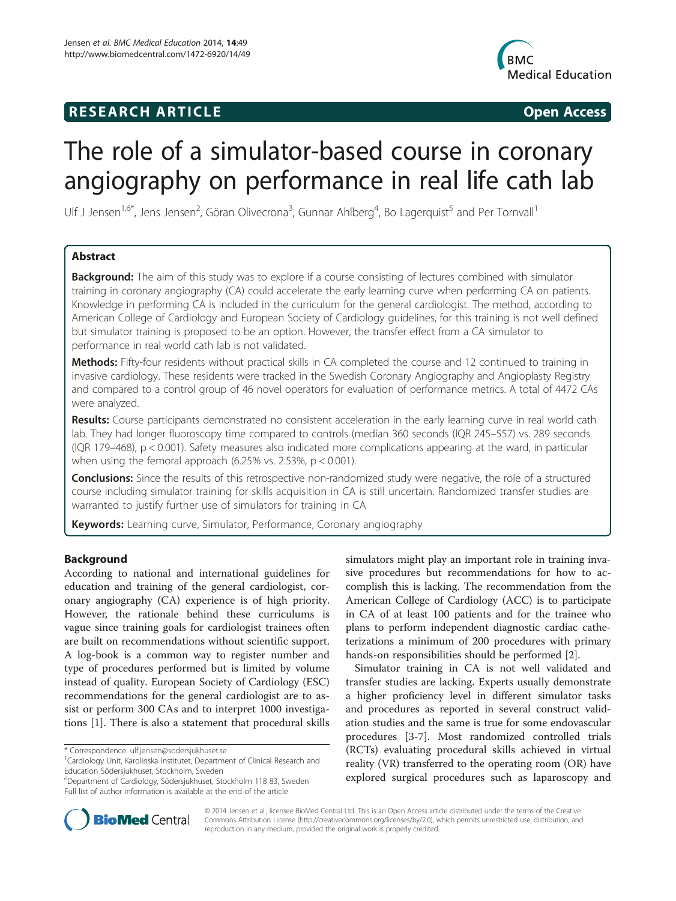# **RESEARCH ARTICLE Example 2018 Open Access**



# The role of a simulator-based course in coronary angiography on performance in real life cath lab

Ulf J Jensen $^{1,6^*}$ , Jens Jensen $^2$ , Göran Olivecrona $^3$ , Gunnar Ahlberg $^4$ , Bo Lagerquist $^5$  and Per Tornvall $^1$ 

# Abstract

**Background:** The aim of this study was to explore if a course consisting of lectures combined with simulator training in coronary angiography (CA) could accelerate the early learning curve when performing CA on patients. Knowledge in performing CA is included in the curriculum for the general cardiologist. The method, according to American College of Cardiology and European Society of Cardiology guidelines, for this training is not well defined but simulator training is proposed to be an option. However, the transfer effect from a CA simulator to performance in real world cath lab is not validated.

Methods: Fifty-four residents without practical skills in CA completed the course and 12 continued to training in invasive cardiology. These residents were tracked in the Swedish Coronary Angiography and Angioplasty Registry and compared to a control group of 46 novel operators for evaluation of performance metrics. A total of 4472 CAs were analyzed.

Results: Course participants demonstrated no consistent acceleration in the early learning curve in real world cath lab. They had longer fluoroscopy time compared to controls (median 360 seconds (IQR 245–557) vs. 289 seconds (IQR 179–468), p < 0.001). Safety measures also indicated more complications appearing at the ward, in particular when using the femoral approach (6.25% vs. 2.53%, p < 0.001).

Conclusions: Since the results of this retrospective non-randomized study were negative, the role of a structured course including simulator training for skills acquisition in CA is still uncertain. Randomized transfer studies are warranted to justify further use of simulators for training in CA

Keywords: Learning curve, Simulator, Performance, Coronary angiography

# Background

According to national and international guidelines for education and training of the general cardiologist, coronary angiography (CA) experience is of high priority. However, the rationale behind these curriculums is vague since training goals for cardiologist trainees often are built on recommendations without scientific support. A log-book is a common way to register number and type of procedures performed but is limited by volume instead of quality. European Society of Cardiology (ESC) recommendations for the general cardiologist are to assist or perform 300 CAs and to interpret 1000 investigations [\[1](#page-6-0)]. There is also a statement that procedural skills

\* Correspondence: [ulf.jensen@sodersjukhuset.se](mailto:ulf.jensen@sodersjukhuset.se) <sup>1</sup>

simulators might play an important role in training invasive procedures but recommendations for how to accomplish this is lacking. The recommendation from the American College of Cardiology (ACC) is to participate in CA of at least 100 patients and for the trainee who plans to perform independent diagnostic cardiac catheterizations a minimum of 200 procedures with primary hands-on responsibilities should be performed [\[2](#page-6-0)].

Simulator training in CA is not well validated and transfer studies are lacking. Experts usually demonstrate a higher proficiency level in different simulator tasks and procedures as reported in several construct validation studies and the same is true for some endovascular procedures [\[3](#page-6-0)-[7\]](#page-7-0). Most randomized controlled trials (RCTs) evaluating procedural skills achieved in virtual reality (VR) transferred to the operating room (OR) have explored surgical procedures such as laparoscopy and



© 2014 Jensen et al.; licensee BioMed Central Ltd. This is an Open Access article distributed under the terms of the Creative Commons Attribution License [\(http://creativecommons.org/licenses/by/2.0\)](http://creativecommons.org/licenses/by/2.0), which permits unrestricted use, distribution, and reproduction in any medium, provided the original work is properly credited.

<sup>&</sup>lt;sup>1</sup>Cardiology Unit, Karolinska Institutet, Department of Clinical Research and Education Södersjukhuset, Stockholm, Sweden

<sup>6</sup> Department of Cardiology, Södersjukhuset, Stockholm 118 83, Sweden Full list of author information is available at the end of the article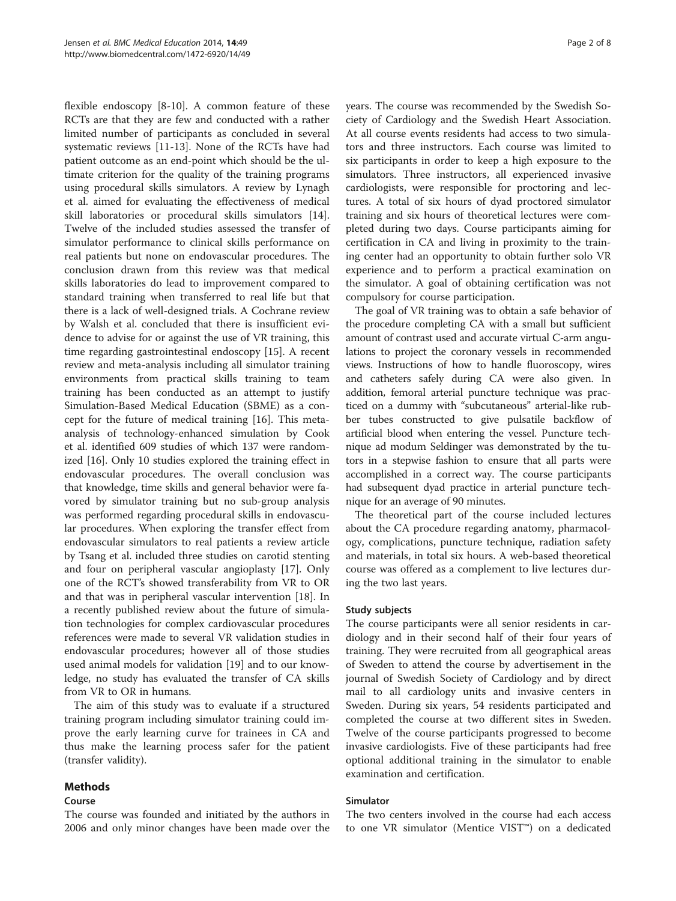flexible endoscopy [[8-10](#page-7-0)]. A common feature of these RCTs are that they are few and conducted with a rather limited number of participants as concluded in several systematic reviews [\[11-13](#page-7-0)]. None of the RCTs have had patient outcome as an end-point which should be the ultimate criterion for the quality of the training programs using procedural skills simulators. A review by Lynagh et al. aimed for evaluating the effectiveness of medical skill laboratories or procedural skills simulators [\[14](#page-7-0)]. Twelve of the included studies assessed the transfer of simulator performance to clinical skills performance on real patients but none on endovascular procedures. The conclusion drawn from this review was that medical skills laboratories do lead to improvement compared to standard training when transferred to real life but that there is a lack of well-designed trials. A Cochrane review by Walsh et al. concluded that there is insufficient evidence to advise for or against the use of VR training, this time regarding gastrointestinal endoscopy [\[15\]](#page-7-0). A recent review and meta-analysis including all simulator training environments from practical skills training to team training has been conducted as an attempt to justify Simulation-Based Medical Education (SBME) as a concept for the future of medical training [[16\]](#page-7-0). This metaanalysis of technology-enhanced simulation by Cook et al. identified 609 studies of which 137 were randomized [[16\]](#page-7-0). Only 10 studies explored the training effect in endovascular procedures. The overall conclusion was that knowledge, time skills and general behavior were favored by simulator training but no sub-group analysis was performed regarding procedural skills in endovascular procedures. When exploring the transfer effect from endovascular simulators to real patients a review article by Tsang et al. included three studies on carotid stenting and four on peripheral vascular angioplasty [[17\]](#page-7-0). Only one of the RCT's showed transferability from VR to OR and that was in peripheral vascular intervention [\[18](#page-7-0)]. In a recently published review about the future of simulation technologies for complex cardiovascular procedures references were made to several VR validation studies in endovascular procedures; however all of those studies used animal models for validation [\[19](#page-7-0)] and to our knowledge, no study has evaluated the transfer of CA skills from VR to OR in humans.

The aim of this study was to evaluate if a structured training program including simulator training could improve the early learning curve for trainees in CA and thus make the learning process safer for the patient (transfer validity).

#### Methods

#### Course

The course was founded and initiated by the authors in 2006 and only minor changes have been made over the years. The course was recommended by the Swedish Society of Cardiology and the Swedish Heart Association. At all course events residents had access to two simulators and three instructors. Each course was limited to six participants in order to keep a high exposure to the simulators. Three instructors, all experienced invasive cardiologists, were responsible for proctoring and lectures. A total of six hours of dyad proctored simulator training and six hours of theoretical lectures were completed during two days. Course participants aiming for certification in CA and living in proximity to the training center had an opportunity to obtain further solo VR experience and to perform a practical examination on the simulator. A goal of obtaining certification was not compulsory for course participation.

The goal of VR training was to obtain a safe behavior of the procedure completing CA with a small but sufficient amount of contrast used and accurate virtual C-arm angulations to project the coronary vessels in recommended views. Instructions of how to handle fluoroscopy, wires and catheters safely during CA were also given. In addition, femoral arterial puncture technique was practiced on a dummy with "subcutaneous" arterial-like rubber tubes constructed to give pulsatile backflow of artificial blood when entering the vessel. Puncture technique ad modum Seldinger was demonstrated by the tutors in a stepwise fashion to ensure that all parts were accomplished in a correct way. The course participants had subsequent dyad practice in arterial puncture technique for an average of 90 minutes.

The theoretical part of the course included lectures about the CA procedure regarding anatomy, pharmacology, complications, puncture technique, radiation safety and materials, in total six hours. A web-based theoretical course was offered as a complement to live lectures during the two last years.

#### Study subjects

The course participants were all senior residents in cardiology and in their second half of their four years of training. They were recruited from all geographical areas of Sweden to attend the course by advertisement in the journal of Swedish Society of Cardiology and by direct mail to all cardiology units and invasive centers in Sweden. During six years, 54 residents participated and completed the course at two different sites in Sweden. Twelve of the course participants progressed to become invasive cardiologists. Five of these participants had free optional additional training in the simulator to enable examination and certification.

#### Simulator

The two centers involved in the course had each access to one VR simulator (Mentice VIST™) on a dedicated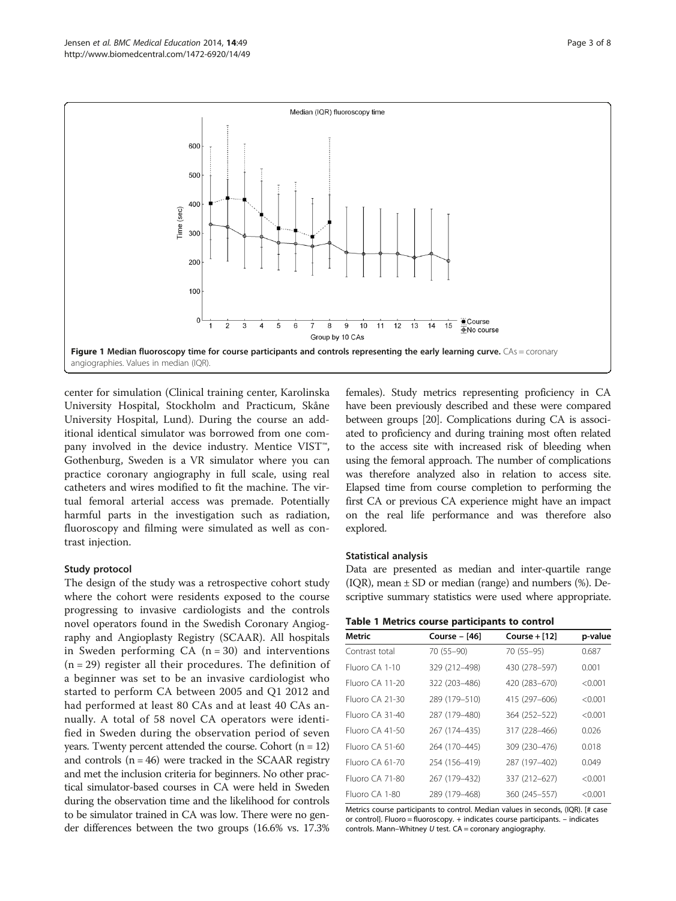<span id="page-2-0"></span>

center for simulation (Clinical training center, Karolinska University Hospital, Stockholm and Practicum, Skåne University Hospital, Lund). During the course an additional identical simulator was borrowed from one company involved in the device industry. Mentice VIST™, Gothenburg, Sweden is a VR simulator where you can practice coronary angiography in full scale, using real catheters and wires modified to fit the machine. The virtual femoral arterial access was premade. Potentially harmful parts in the investigation such as radiation, fluoroscopy and filming were simulated as well as contrast injection.

#### Study protocol

The design of the study was a retrospective cohort study where the cohort were residents exposed to the course progressing to invasive cardiologists and the controls novel operators found in the Swedish Coronary Angiography and Angioplasty Registry (SCAAR). All hospitals in Sweden performing  $CA$  ( $n = 30$ ) and interventions  $(n = 29)$  register all their procedures. The definition of a beginner was set to be an invasive cardiologist who started to perform CA between 2005 and Q1 2012 and had performed at least 80 CAs and at least 40 CAs annually. A total of 58 novel CA operators were identified in Sweden during the observation period of seven years. Twenty percent attended the course. Cohort  $(n = 12)$ and controls  $(n = 46)$  were tracked in the SCAAR registry and met the inclusion criteria for beginners. No other practical simulator-based courses in CA were held in Sweden during the observation time and the likelihood for controls to be simulator trained in CA was low. There were no gender differences between the two groups (16.6% vs. 17.3%

females). Study metrics representing proficiency in CA have been previously described and these were compared between groups [\[20\]](#page-7-0). Complications during CA is associated to proficiency and during training most often related to the access site with increased risk of bleeding when using the femoral approach. The number of complications was therefore analyzed also in relation to access site. Elapsed time from course completion to performing the first CA or previous CA experience might have an impact on the real life performance and was therefore also explored.

#### Statistical analysis

Data are presented as median and inter-quartile range (IOR), mean  $\pm$  SD or median (range) and numbers (%). Descriptive summary statistics were used where appropriate.

|  |  |  |  | Table 1 Metrics course participants to control |  |  |
|--|--|--|--|------------------------------------------------|--|--|
|--|--|--|--|------------------------------------------------|--|--|

| Metric          | Course - [46] | Course $+[12]$ | p-value |
|-----------------|---------------|----------------|---------|
| Contrast total  | 70 (55-90)    | 70 (55-95)     | 0.687   |
| Fluoro CA 1-10  | 329 (212-498) | 430 (278-597)  | 0.001   |
| Fluoro CA 11-20 | 322 (203-486) | 420 (283-670)  | < 0.001 |
| Fluoro CA 21-30 | 289 (179-510) | 415 (297-606)  | < 0.001 |
| Fluoro CA 31-40 | 287 (179-480) | 364 (252-522)  | < 0.001 |
| Fluoro CA 41-50 | 267 (174-435) | 317 (228-466)  | 0.026   |
| Fluoro CA 51-60 | 264 (170-445) | 309 (230-476)  | 0.018   |
| Fluoro CA 61-70 | 254 (156-419) | 287 (197-402)  | 0.049   |
| Fluoro CA 71-80 | 267 (179-432) | 337 (212-627)  | < 0.001 |
| Fluoro CA 1-80  | 289 (179-468) | 360 (245–557)  | < 0.001 |

Metrics course participants to control. Median values in seconds, (IQR). [# case or control]. Fluoro = fluoroscopy. + indicates course participants. – indicates controls. Mann–Whitney  $U$  test. CA = coronary angiography.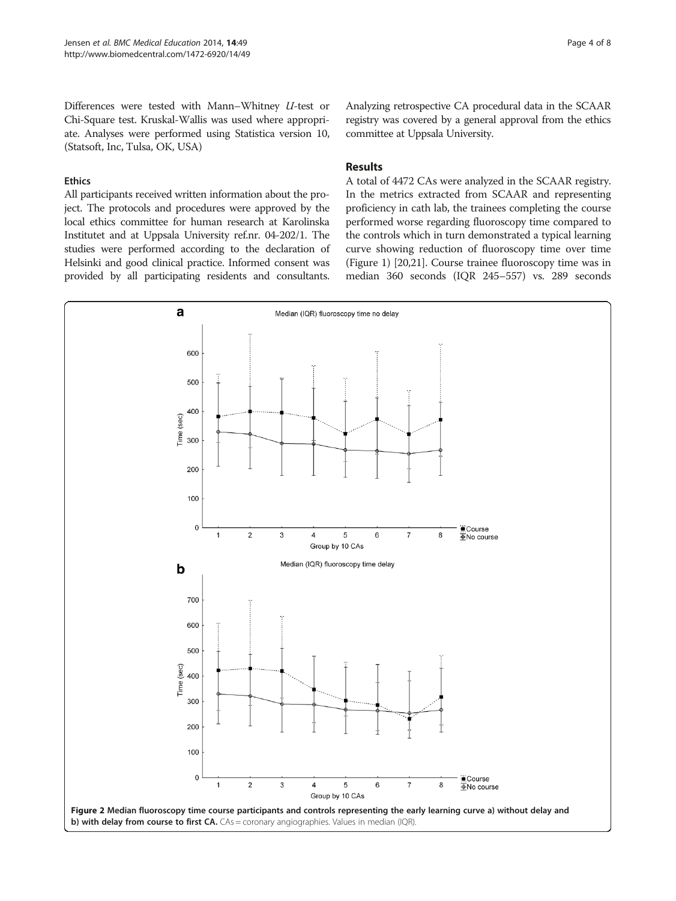<span id="page-3-0"></span>Differences were tested with Mann–Whitney U-test or Chi-Square test. Kruskal-Wallis was used where appropriate. Analyses were performed using Statistica version 10, (Statsoft, Inc, Tulsa, OK, USA)

#### Ethics

All participants received written information about the project. The protocols and procedures were approved by the local ethics committee for human research at Karolinska Institutet and at Uppsala University ref.nr. 04-202/1. The studies were performed according to the declaration of Helsinki and good clinical practice. Informed consent was provided by all participating residents and consultants.

Analyzing retrospective CA procedural data in the SCAAR registry was covered by a general approval from the ethics committee at Uppsala University.

# Results

A total of 4472 CAs were analyzed in the SCAAR registry. In the metrics extracted from SCAAR and representing proficiency in cath lab, the trainees completing the course performed worse regarding fluoroscopy time compared to the controls which in turn demonstrated a typical learning curve showing reduction of fluoroscopy time over time (Figure [1](#page-2-0)) [\[20,21\]](#page-7-0). Course trainee fluoroscopy time was in median 360 seconds (IQR 245–557) vs. 289 seconds

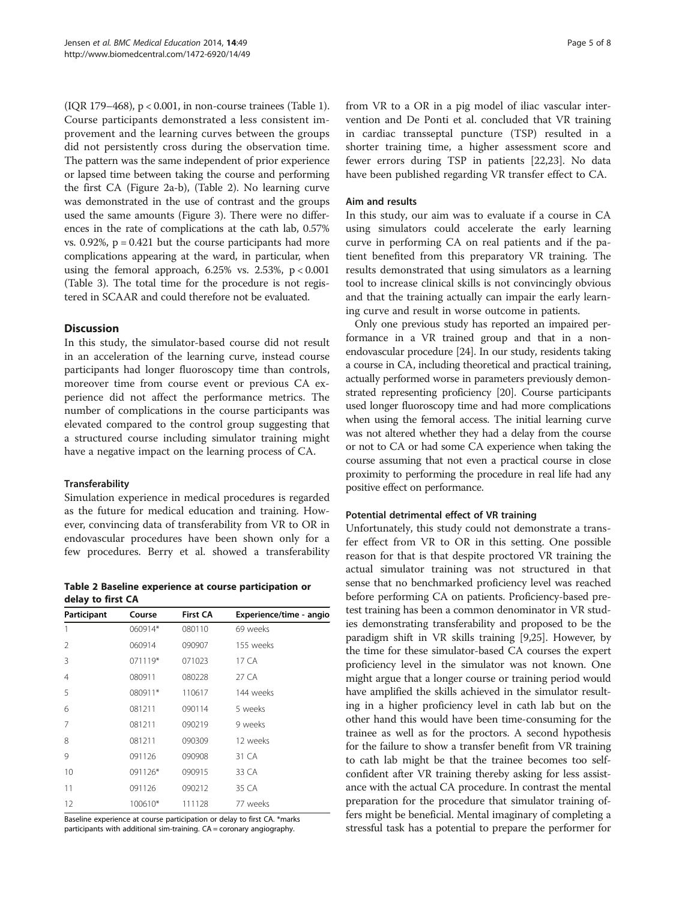(IQR 179–468), p < 0.001, in non-course trainees (Table [1](#page-2-0)). Course participants demonstrated a less consistent improvement and the learning curves between the groups did not persistently cross during the observation time. The pattern was the same independent of prior experience or lapsed time between taking the course and performing the first CA (Figure [2](#page-3-0)a-b), (Table 2). No learning curve was demonstrated in the use of contrast and the groups used the same amounts (Figure [3\)](#page-5-0). There were no differences in the rate of complications at the cath lab, 0.57% vs.  $0.92\%$ ,  $p = 0.421$  but the course participants had more complications appearing at the ward, in particular, when using the femoral approach,  $6.25\%$  vs.  $2.53\%$ ,  $p < 0.001$ (Table [3](#page-5-0)). The total time for the procedure is not registered in SCAAR and could therefore not be evaluated.

# Discussion

In this study, the simulator-based course did not result in an acceleration of the learning curve, instead course participants had longer fluoroscopy time than controls, moreover time from course event or previous CA experience did not affect the performance metrics. The number of complications in the course participants was elevated compared to the control group suggesting that a structured course including simulator training might have a negative impact on the learning process of CA.

#### **Transferability**

Simulation experience in medical procedures is regarded as the future for medical education and training. However, convincing data of transferability from VR to OR in endovascular procedures have been shown only for a few procedures. Berry et al. showed a transferability

Table 2 Baseline experience at course participation or delay to first CA

| Participant    | Course  | <b>First CA</b> | Experience/time - angio |
|----------------|---------|-----------------|-------------------------|
| 1              | 060914* | 080110          | 69 weeks                |
| $\overline{2}$ | 060914  | 090907          | 155 weeks               |
| 3              | 071119* | 071023          | 17 CA                   |
| $\overline{4}$ | 080911  | 080228          | 27 CA                   |
| 5              | 080911* | 110617          | 144 weeks               |
| 6              | 081211  | 090114          | 5 weeks                 |
| 7              | 081211  | 090219          | 9 weeks                 |
| 8              | 081211  | 090309          | 12 weeks                |
| 9              | 091126  | 090908          | 31 CA                   |
| 10             | 091126* | 090915          | 33 CA                   |
| 11             | 091126  | 090212          | 35 CA                   |
| 12             | 100610* | 111128          | 77 weeks                |

Baseline experience at course participation or delay to first CA. \*marks participants with additional sim-training. CA = coronary angiography.

from VR to a OR in a pig model of iliac vascular intervention and De Ponti et al. concluded that VR training in cardiac transseptal puncture (TSP) resulted in a shorter training time, a higher assessment score and fewer errors during TSP in patients [[22,23\]](#page-7-0). No data have been published regarding VR transfer effect to CA.

#### Aim and results

In this study, our aim was to evaluate if a course in CA using simulators could accelerate the early learning curve in performing CA on real patients and if the patient benefited from this preparatory VR training. The results demonstrated that using simulators as a learning tool to increase clinical skills is not convincingly obvious and that the training actually can impair the early learning curve and result in worse outcome in patients.

Only one previous study has reported an impaired performance in a VR trained group and that in a nonendovascular procedure [\[24\]](#page-7-0). In our study, residents taking a course in CA, including theoretical and practical training, actually performed worse in parameters previously demonstrated representing proficiency [[20](#page-7-0)]. Course participants used longer fluoroscopy time and had more complications when using the femoral access. The initial learning curve was not altered whether they had a delay from the course or not to CA or had some CA experience when taking the course assuming that not even a practical course in close proximity to performing the procedure in real life had any positive effect on performance.

#### Potential detrimental effect of VR training

Unfortunately, this study could not demonstrate a transfer effect from VR to OR in this setting. One possible reason for that is that despite proctored VR training the actual simulator training was not structured in that sense that no benchmarked proficiency level was reached before performing CA on patients. Proficiency-based pretest training has been a common denominator in VR studies demonstrating transferability and proposed to be the paradigm shift in VR skills training [\[9,25\]](#page-7-0). However, by the time for these simulator-based CA courses the expert proficiency level in the simulator was not known. One might argue that a longer course or training period would have amplified the skills achieved in the simulator resulting in a higher proficiency level in cath lab but on the other hand this would have been time-consuming for the trainee as well as for the proctors. A second hypothesis for the failure to show a transfer benefit from VR training to cath lab might be that the trainee becomes too selfconfident after VR training thereby asking for less assistance with the actual CA procedure. In contrast the mental preparation for the procedure that simulator training offers might be beneficial. Mental imaginary of completing a stressful task has a potential to prepare the performer for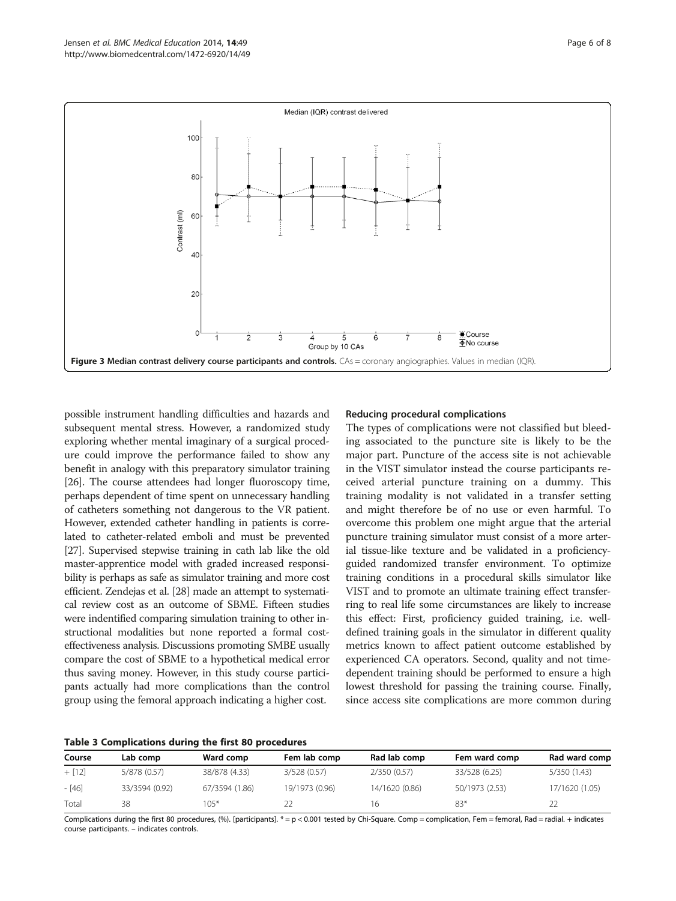<span id="page-5-0"></span>

possible instrument handling difficulties and hazards and subsequent mental stress. However, a randomized study exploring whether mental imaginary of a surgical procedure could improve the performance failed to show any benefit in analogy with this preparatory simulator training [[26](#page-7-0)]. The course attendees had longer fluoroscopy time, perhaps dependent of time spent on unnecessary handling of catheters something not dangerous to the VR patient. However, extended catheter handling in patients is correlated to catheter-related emboli and must be prevented [[27](#page-7-0)]. Supervised stepwise training in cath lab like the old master-apprentice model with graded increased responsibility is perhaps as safe as simulator training and more cost efficient. Zendejas et al. [[28](#page-7-0)] made an attempt to systematical review cost as an outcome of SBME. Fifteen studies were indentified comparing simulation training to other instructional modalities but none reported a formal costeffectiveness analysis. Discussions promoting SMBE usually compare the cost of SBME to a hypothetical medical error thus saving money. However, in this study course participants actually had more complications than the control group using the femoral approach indicating a higher cost.

#### Reducing procedural complications

The types of complications were not classified but bleeding associated to the puncture site is likely to be the major part. Puncture of the access site is not achievable in the VIST simulator instead the course participants received arterial puncture training on a dummy. This training modality is not validated in a transfer setting and might therefore be of no use or even harmful. To overcome this problem one might argue that the arterial puncture training simulator must consist of a more arterial tissue-like texture and be validated in a proficiencyguided randomized transfer environment. To optimize training conditions in a procedural skills simulator like VIST and to promote an ultimate training effect transferring to real life some circumstances are likely to increase this effect: First, proficiency guided training, i.e. welldefined training goals in the simulator in different quality metrics known to affect patient outcome established by experienced CA operators. Second, quality and not timedependent training should be performed to ensure a high lowest threshold for passing the training course. Finally, since access site complications are more common during

| Course   | Lab comp       | Ward comp      | Fem lab comp   | Rad lab comp   | Fem ward comp  | Rad ward comp  |
|----------|----------------|----------------|----------------|----------------|----------------|----------------|
| $+$ [12] | 5/878 (0.57)   | 38/878 (4.33)  | 3/528 (0.57)   | 2/350(0.57)    | 33/528 (6.25)  | 5/350(1.43)    |
| $-[46]$  | 33/3594 (0.92) | 67/3594 (1.86) | 19/1973 (0.96) | 14/1620 (0.86) | 50/1973 (2.53) | 17/1620 (1.05) |
| Total    | 38             | 105*           |                | 16             | 83*            |                |

Complications during the first 80 procedures,  $(\%)$ . [participants].  $* = p < 0.001$  tested by Chi-Square. Comp = complication, Fem = femoral, Rad = radial. + indicates course participants. – indicates controls.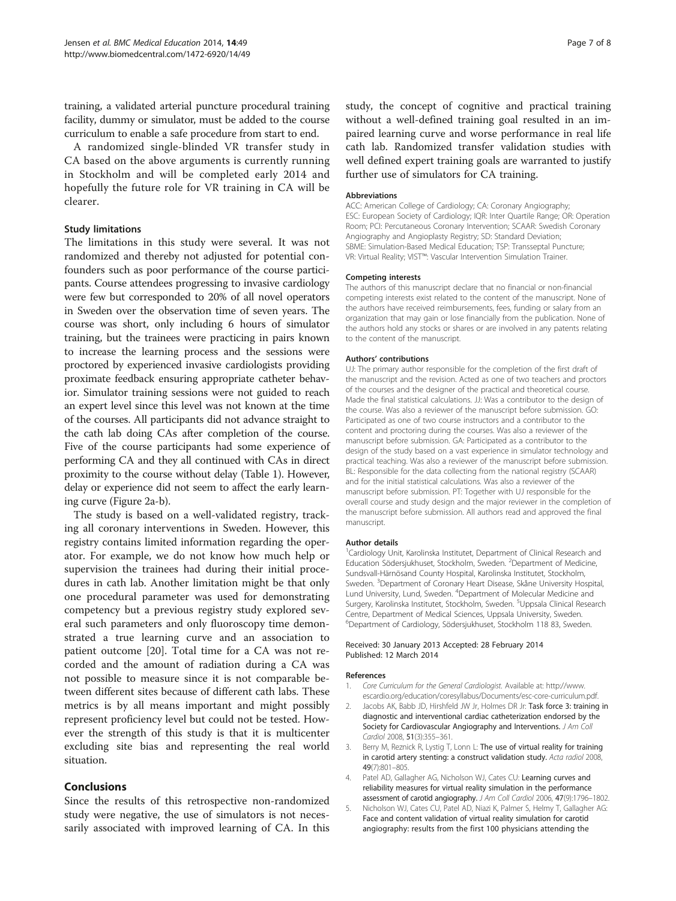<span id="page-6-0"></span>training, a validated arterial puncture procedural training facility, dummy or simulator, must be added to the course curriculum to enable a safe procedure from start to end.

A randomized single-blinded VR transfer study in CA based on the above arguments is currently running in Stockholm and will be completed early 2014 and hopefully the future role for VR training in CA will be clearer.

### Study limitations

The limitations in this study were several. It was not randomized and thereby not adjusted for potential confounders such as poor performance of the course participants. Course attendees progressing to invasive cardiology were few but corresponded to 20% of all novel operators in Sweden over the observation time of seven years. The course was short, only including 6 hours of simulator training, but the trainees were practicing in pairs known to increase the learning process and the sessions were proctored by experienced invasive cardiologists providing proximate feedback ensuring appropriate catheter behavior. Simulator training sessions were not guided to reach an expert level since this level was not known at the time of the courses. All participants did not advance straight to the cath lab doing CAs after completion of the course. Five of the course participants had some experience of performing CA and they all continued with CAs in direct proximity to the course without delay (Table [1\)](#page-2-0). However, delay or experience did not seem to affect the early learning curve (Figure [2](#page-3-0)a-b).

The study is based on a well-validated registry, tracking all coronary interventions in Sweden. However, this registry contains limited information regarding the operator. For example, we do not know how much help or supervision the trainees had during their initial procedures in cath lab. Another limitation might be that only one procedural parameter was used for demonstrating competency but a previous registry study explored several such parameters and only fluoroscopy time demonstrated a true learning curve and an association to patient outcome [\[20\]](#page-7-0). Total time for a CA was not recorded and the amount of radiation during a CA was not possible to measure since it is not comparable between different sites because of different cath labs. These metrics is by all means important and might possibly represent proficiency level but could not be tested. However the strength of this study is that it is multicenter excluding site bias and representing the real world situation.

# Conclusions

Since the results of this retrospective non-randomized study were negative, the use of simulators is not necessarily associated with improved learning of CA. In this study, the concept of cognitive and practical training without a well-defined training goal resulted in an impaired learning curve and worse performance in real life cath lab. Randomized transfer validation studies with well defined expert training goals are warranted to justify further use of simulators for CA training.

#### Abbreviations

ACC: American College of Cardiology; CA: Coronary Angiography; ESC: European Society of Cardiology; IQR: Inter Quartile Range; OR: Operation Room; PCI: Percutaneous Coronary Intervention; SCAAR: Swedish Coronary Angiography and Angioplasty Registry; SD: Standard Deviation; SBME: Simulation-Based Medical Education; TSP: Transseptal Puncture; VR: Virtual Reality; VIST™: Vascular Intervention Simulation Trainer.

#### Competing interests

The authors of this manuscript declare that no financial or non-financial competing interests exist related to the content of the manuscript. None of the authors have received reimbursements, fees, funding or salary from an organization that may gain or lose financially from the publication. None of the authors hold any stocks or shares or are involved in any patents relating to the content of the manuscript.

#### Authors' contributions

UJ: The primary author responsible for the completion of the first draft of the manuscript and the revision. Acted as one of two teachers and proctors of the courses and the designer of the practical and theoretical course. Made the final statistical calculations. JJ: Was a contributor to the design of the course. Was also a reviewer of the manuscript before submission. GO: Participated as one of two course instructors and a contributor to the content and proctoring during the courses. Was also a reviewer of the manuscript before submission. GA: Participated as a contributor to the design of the study based on a vast experience in simulator technology and practical teaching. Was also a reviewer of the manuscript before submission. BL: Responsible for the data collecting from the national registry (SCAAR) and for the initial statistical calculations. Was also a reviewer of the manuscript before submission. PT: Together with UJ responsible for the overall course and study design and the major reviewer in the completion of the manuscript before submission. All authors read and approved the final manuscript.

#### Author details

<sup>1</sup> Cardiology Unit, Karolinska Institutet, Department of Clinical Research and Education Södersjukhuset, Stockholm, Sweden. <sup>2</sup>Department of Medicine, Sundsvall-Härnösand County Hospital, Karolinska Institutet, Stockholm, Sweden. <sup>3</sup>Department of Coronary Heart Disease, Skåne University Hospital, Lund University, Lund, Sweden. <sup>4</sup> Department of Molecular Medicine and Surgery, Karolinska Institutet, Stockholm, Sweden. <sup>5</sup>Uppsala Clinical Research Centre, Department of Medical Sciences, Uppsala University, Sweden. 6 Department of Cardiology, Södersjukhuset, Stockholm 118 83, Sweden.

#### Received: 30 January 2013 Accepted: 28 February 2014 Published: 12 March 2014

#### References

- 1. Core Curriculum for the General Cardiologist. Available at: [http://www.](http://www.escardio.org/education/coresyllabus/Documents/esc-core-curriculum.pdf) [escardio.org/education/coresyllabus/Documents/esc-core-curriculum.pdf.](http://www.escardio.org/education/coresyllabus/Documents/esc-core-curriculum.pdf)
- 2. Jacobs AK, Babb JD, Hirshfeld JW Jr, Holmes DR Jr: Task force 3: training in diagnostic and interventional cardiac catheterization endorsed by the Society for Cardiovascular Angiography and Interventions. J Am Coll Cardiol 2008, 51(3):355–361.
- Berry M, Reznick R, Lystig T, Lonn L: The use of virtual reality for training in carotid artery stenting: a construct validation study. Acta radiol 2008, 49(7):801–805.
- 4. Patel AD, Gallagher AG, Nicholson WJ, Cates CU: Learning curves and reliability measures for virtual reality simulation in the performance assessment of carotid angiography. J Am Coll Cardiol 2006, 47(9):1796–1802.
- 5. Nicholson WJ, Cates CU, Patel AD, Niazi K, Palmer S, Helmy T, Gallagher AG: Face and content validation of virtual reality simulation for carotid angiography: results from the first 100 physicians attending the